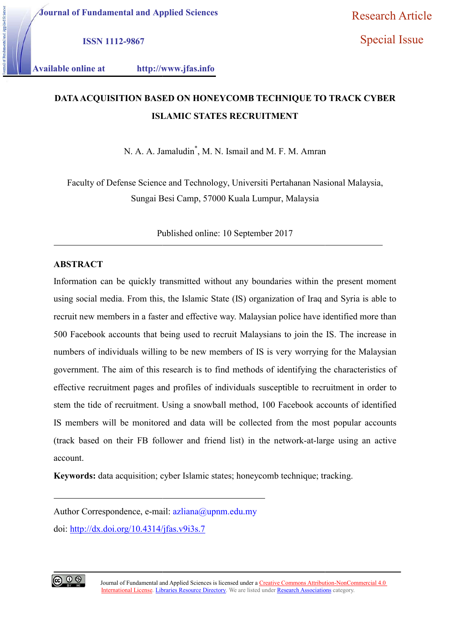Journal of Fundamental and Applied Sciences

Special Issue

ISSN 1112-9867

Available online at http://www.jfas.info http://www.jfas.info

# DATA ACQUISITION BASED ON HONEYCOMB TECHNIQUE TO TRACK CYBER ISLAMIC STATES RECRUITMENT

N. A. A. Jamaludin<sup>\*</sup>, M. N. Ismail and M. F. M. Amran

Faculty of Defense Science and Technology, Universiti Pertahanan Nasional Malaysia, Sungai Besi Camp, 57000 Kuala Lumpur, Malaysia

Published online: 10 September 2017

# ABSTRACT

Information can be quickly transmitted without any boundaries within the present moment using social media. From this, the Islamic State (IS) organization of Iraq and Syria is able to recruit new members in a faster and effective way. Malaysian police have identified more than 500 Facebook accounts that being used to recruit Malaysians to join the IS. The increase in numbers of individuals willing to be new members of IS is very worrying for the Malaysian government. The aim of this research is to find methods of identifying the characteristics of effective recruitment pages and profiles of individuals susceptible to recruitment in order to stem the tide of recruitment. Using a snowball method, 100 Facebook accounts of identified IS members will be monitored and data will be collected from the most popular accounts (track based on their FB follower and friend list) in the account. bers of individuals willing to be new members of IS is very worrying for the Malaysian<br>ernment. The aim of this research is to find methods of identifying the characteristics of<br>tive recruitment pages and profiles of indiv quickly transmitted without any boundaries within the present moment<br>From this, the Islamic State (IS) organization of Iraq and Syria is able to<br>in a faster and effective way. Malaysian police have identified more than<br>int Research Article<br>
ISSN 1112-9867<br>
ISLANLE SERIES (Special Issue<br>
Special Issue<br>
able online at http://www.jfas.info<br>
DATA ACOUISITION BASED ON HONEYCOMB TECHNIQUE TO TRACK CYBER<br>
ISLANLE STATES RECRUITMENT<br>
N. A. A. Jamahu

Keywords: data acquisition; cyber Islamic states; honeycomb technique; tracking.

Author Correspondence, e-mail: azliana@upnm.edu.my doi: http://dx.doi.org/10.4314/jfas.v9i3s. http://dx.doi.org/10.4314/jfas.v9i3s.7

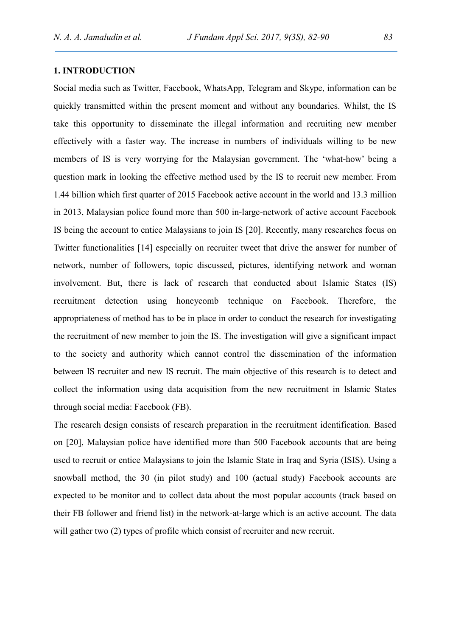# 1. INTRODUCTION

Social media such as Twitter, Facebook, WhatsApp, Telegram and Skype, information can be quickly transmitted within the present moment and without any boundaries. Whilst, the IS take this opportunity to disseminate the illegal information and recruiting new member effectively with a faster way. The increase in numbers of individuals willing to be new members of IS is very worrying for the Malaysian government. The 'what-how' being a question mark in looking the effective method used by the IS to recruit new member. From 1.44 billion which first quarter of 2015 Facebook active account in the world and 13.3 million in 2013, Malaysian police found more than 500 in-large-network of active account Facebook IS being the account to entice Malaysians to join IS [20]. Recently, many researches focus on Twitter functionalities [14] especially on recruiter tweet that drive the answer for number of network, number of followers, topic discussed, pictures, identifying network and woman involvement. But, there is lack of research that conducted about Islamic States (IS) recruitment detection using honeycomb technique on Facebook. Therefore, the appropriateness of method has to be in place in order to conduct the research for investigating the recruitment of new member to join the IS. The investigation will give a significant impact to the society and authority which cannot control the dissemination of the information between IS recruiter and new IS recruit. The main objective of this research is to detect and collect the information using data acquisition from the new recruitment in Islamic States through social media: Facebook (FB).

The research design consists of research preparation in the recruitment identification. Based on [20], Malaysian police have identified more than 500 Facebook accounts that are being used to recruit or entice Malaysians to join the Islamic State in Iraq and Syria (ISIS). Using a snowball method, the 30 (in pilot study) and 100 (actual study) Facebook accounts are expected to be monitor and to collect data about the most popular accounts (track based on their FB follower and friend list) in the network-at-large which is an active account. The data will gather two (2) types of profile which consist of recruiter and new recruit.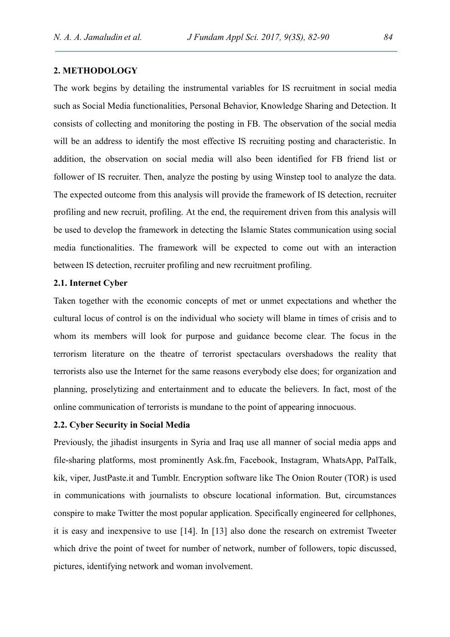# 2. METHODOLOGY

The work begins by detailing the instrumental variables for IS recruitment in social media such as Social Media functionalities, Personal Behavior, Knowledge Sharing and Detection. It consists of collecting and monitoring the posting in FB. The observation of the social media will be an address to identify the most effective IS recruiting posting and characteristic. In addition, the observation on social media will also been identified for FB friend list or follower of IS recruiter. Then, analyze the posting by using Winstep tool to analyze the data. The expected outcome from this analysis will provide the framework of IS detection, recruiter profiling and new recruit, profiling. At the end, the requirement driven from this analysis will be used to develop the framework in detecting the Islamic States communication using social media functionalities. The framework will be expected to come out with an interaction between IS detection, recruiter profiling and new recruitment profiling.

## 2.1. Internet Cyber

Taken together with the economic concepts of met or unmet expectations and whether the cultural locus of control is on the individual who society will blame in times of crisis and to whom its members will look for purpose and guidance become clear. The focus in the terrorism literature on the theatre of terrorist spectaculars overshadows the reality that terrorists also use the Internet for the same reasons everybody else does; for organization and planning, proselytizing and entertainment and to educate the believers. In fact, most of the online communication of terrorists is mundane to the point of appearing innocuous.

## 2.2. Cyber Security in Social Media

Previously, the jihadist insurgents in Syria and Iraq use all manner of social media apps and file-sharing platforms, most prominently Ask.fm, Facebook, Instagram, WhatsApp, PalTalk, kik, viper, JustPaste.it and Tumblr. Encryption software like The Onion Router (TOR) is used in communications with journalists to obscure locational information. But, circumstances conspire to make Twitter the most popular application. Specifically engineered for cellphones, it is easy and inexpensive to use [14]. In [13] also done the research on extremist Tweeter which drive the point of tweet for number of network, number of followers, topic discussed, pictures, identifying network and woman involvement.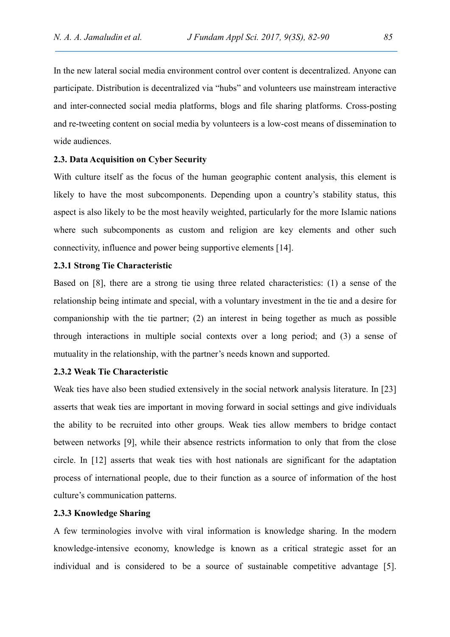In the new lateral social media environment control over content is decentralized. Anyone can participate. Distribution is decentralized via "hubs" and volunteers use mainstream interactive and inter-connected social media platforms, blogs and file sharing platforms. Cross-posting and re-tweeting content on social media by volunteers is a low-cost means of dissemination to wide audiences.

## 2.3. Data Acquisition on Cyber Security

With culture itself as the focus of the human geographic content analysis, this element is likely to have the most subcomponents. Depending upon a country's stability status, this aspect is also likely to be the most heavily weighted, particularly for the more Islamic nations where such subcomponents as custom and religion are key elements and other such connectivity, influence and power being supportive elements [14].

## 2.3.1 Strong Tie Characteristic

Based on [8], there are a strong tie using three related characteristics: (1) a sense of the relationship being intimate and special, with a voluntary investment in the tie and a desire for companionship with the tie partner; (2) an interest in being together as much as possible through interactions in multiple social contexts over a long period; and (3) a sense of mutuality in the relationship, with the partner's needs known and supported.

# 2.3.2 Weak Tie Characteristic

Weak ties have also been studied extensively in the social network analysis literature. In [23] asserts that weak ties are important in moving forward in social settings and give individuals the ability to be recruited into other groups. Weak ties allow members to bridge contact between networks [9], while their absence restricts information to only that from the close circle. In [12] asserts that weak ties with host nationals are significant for the adaptation process of international people, due to their function as a source of information of the host culture's communication patterns.

## 2.3.3 Knowledge Sharing

A few terminologies involve with viral information is knowledge sharing. In the modern knowledge-intensive economy, knowledge is known as a critical strategic asset for an individual and is considered to be a source of sustainable competitive advantage [5].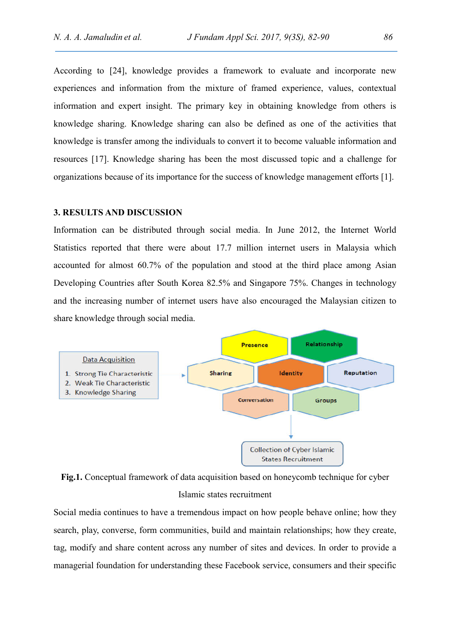According to [24], knowledge provides a framework to evaluate and incorporate new experiences and information from the mixture of framed experience, values, contextual information and expert insight. The primary key in obtaining knowledge from others is knowledge sharing. Knowledge sharing can also be defined as one of the activities that knowledge is transfer among the individuals to convert it to become valuable information and resources [17]. Knowledge sharing has been the most discussed topic and a challenge for organizations because of its importance for the success of knowledge management efforts [1].

#### 3. RESULTS AND DISCUSSION

Information can be distributed through social media. In June 2012, the Internet World Statistics reported that there were about 17.7 million internet users in Malaysia which accounted for almost 60.7% of the population and stood at the third place among Asian Developing Countries after South Korea 82.5% and Singapore 75%. Changes in technology and the increasing number of internet users have also encouraged the Malaysian citizen to share knowledge through social media.



Fig.1. Conceptual framework of data acquisition based on honeycomb technique for cyber Islamic states recruitment

Social media continues to have a tremendous impact on how people behave online; how they search, play, converse, form communities, build and maintain relationships; how they create, tag, modify and share content across any number of sites and devices. In order to provide a managerial foundation for understanding these Facebook service, consumers and their specific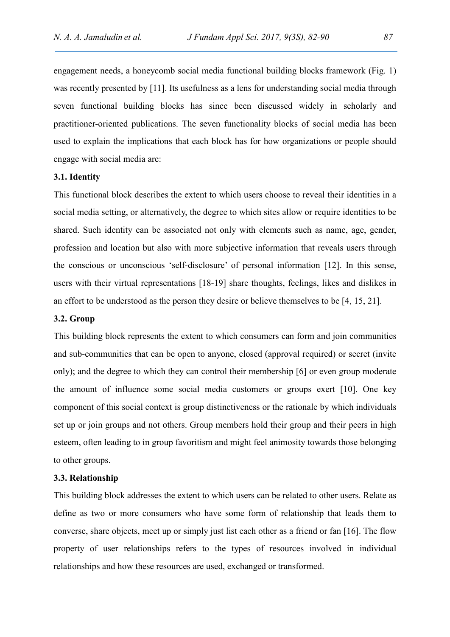engagement needs, a honeycomb social media functional building blocks framework (Fig. 1) was recently presented by [11]. Its usefulness as a lens for understanding social media through seven functional building blocks has since been discussed widely in scholarly and practitioner-oriented publications. The seven functionality blocks of social media has been used to explain the implications that each block has for how organizations or people should engage with social media are:

## 3.1. Identity

This functional block describes the extent to which users choose to reveal their identities in a social media setting, or alternatively, the degree to which sites allow or require identities to be shared. Such identity can be associated not only with elements such as name, age, gender, profession and location but also with more subjective information that reveals users through the conscious or unconscious 'self-disclosure' of personal information [12]. In this sense, users with their virtual representations [18-19] share thoughts, feelings, likes and dislikes in an effort to be understood as the person they desire or believe themselves to be [4, 15, 21].

## 3.2. Group

This building block represents the extent to which consumers can form and join communities and sub-communities that can be open to anyone, closed (approval required) or secret (invite only); and the degree to which they can control their membership [6] or even group moderate the amount of influence some social media customers or groups exert [10]. One key component of this social context is group distinctiveness or the rationale by which individuals set up or join groups and not others. Group members hold their group and their peers in high esteem, often leading to in group favoritism and might feel animosity towards those belonging to other groups.

## 3.3. Relationship

This building block addresses the extent to which users can be related to other users. Relate as define as two or more consumers who have some form of relationship that leads them to converse, share objects, meet up or simply just list each other as a friend or fan [16]. The flow property of user relationships refers to the types of resources involved in individual relationships and how these resources are used, exchanged or transformed.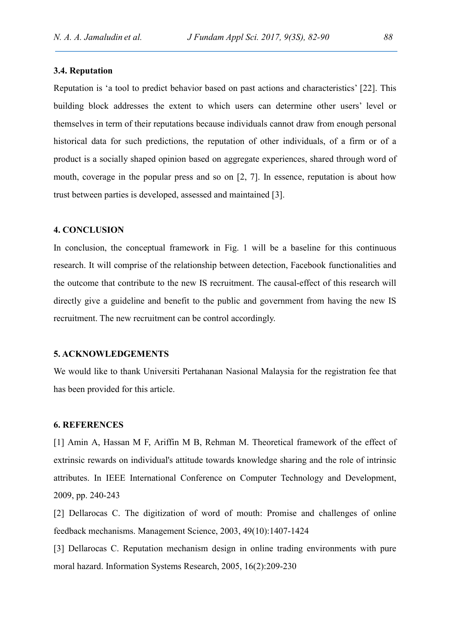## 3.4. Reputation

Reputation is 'a tool to predict behavior based on past actions and characteristics' [22]. This building block addresses the extent to which users can determine other users' level or themselves in term of their reputations because individuals cannot draw from enough personal historical data for such predictions, the reputation of other individuals, of a firm or of a product is a socially shaped opinion based on aggregate experiences, shared through word of mouth, coverage in the popular press and so on [2, 7]. In essence, reputation is about how trust between parties is developed, assessed and maintained [3].

#### 4. CONCLUSION

In conclusion, the conceptual framework in Fig. 1 will be a baseline for this continuous research. It will comprise of the relationship between detection, Facebook functionalities and the outcome that contribute to the new IS recruitment. The causal-effect of this research will directly give a guideline and benefit to the public and government from having the new IS recruitment. The new recruitment can be control accordingly.

## 5. ACKNOWLEDGEMENTS

We would like to thank Universiti Pertahanan Nasional Malaysia for the registration fee that has been provided for this article.

#### 6. REFERENCES

[1] Amin A, Hassan M F, Ariffin M B, Rehman M. Theoretical framework of the effect of extrinsic rewards on individual's attitude towards knowledge sharing and the role of intrinsic attributes. In IEEE International Conference on Computer Technology and Development, 2009, pp. 240-243

[2] Dellarocas C. The digitization of word of mouth: Promise and challenges of online feedback mechanisms. Management Science, 2003, 49(10):1407-1424

[3] Dellarocas C. Reputation mechanism design in online trading environments with pure moral hazard. Information Systems Research, 2005, 16(2):209-230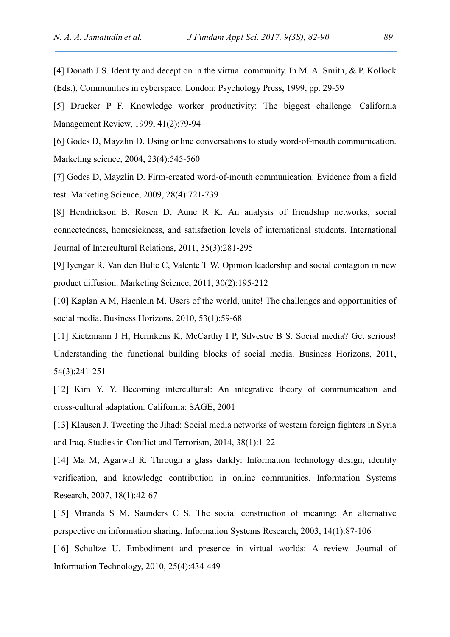[4] Donath J S. Identity and deception in the virtual community. In M. A. Smith, & P. Kollock (Eds.), Communities in cyberspace. London: Psychology Press, 1999, pp. 29-59

[5] Drucker P F. Knowledge worker productivity: The biggest challenge. California Management Review, 1999, 41(2):79-94

[6] Godes D, Mayzlin D. Using online conversations to study word-of-mouth communication. Marketing science, 2004, 23(4):545-560

[7] Godes D, Mayzlin D. Firm-created word-of-mouth communication: Evidence from a field test. Marketing Science, 2009, 28(4):721-739

[8] Hendrickson B, Rosen D, Aune R K. An analysis of friendship networks, social connectedness, homesickness, and satisfaction levels of international students. International Journal of Intercultural Relations, 2011, 35(3):281-295

[9] Iyengar R, Van den Bulte C, Valente T W. Opinion leadership and social contagion in new product diffusion. Marketing Science, 2011, 30(2):195-212

[10] Kaplan A M, Haenlein M. Users of the world, unite! The challenges and opportunities of social media. Business Horizons, 2010, 53(1):59-68

[11] Kietzmann J H, Hermkens K, McCarthy I P, Silvestre B S. Social media? Get serious! Understanding the functional building blocks of social media. Business Horizons, 2011, 54(3):241-251

[12] Kim Y. Y. Becoming intercultural: An integrative theory of communication and cross-cultural adaptation. California: SAGE, 2001

[13] Klausen J. Tweeting the Jihad: Social media networks of western foreign fighters in Syria and Iraq. Studies in Conflict and Terrorism, 2014, 38(1):1-22

[14] Ma M, Agarwal R. Through a glass darkly: Information technology design, identity verification, and knowledge contribution in online communities. Information Systems Research, 2007, 18(1):42-67

[15] Miranda S M, Saunders C S. The social construction of meaning: An alternative perspective on information sharing. Information Systems Research, 2003, 14(1):87-106

[16] Schultze U. Embodiment and presence in virtual worlds: A review. Journal of Information Technology, 2010, 25(4):434-449